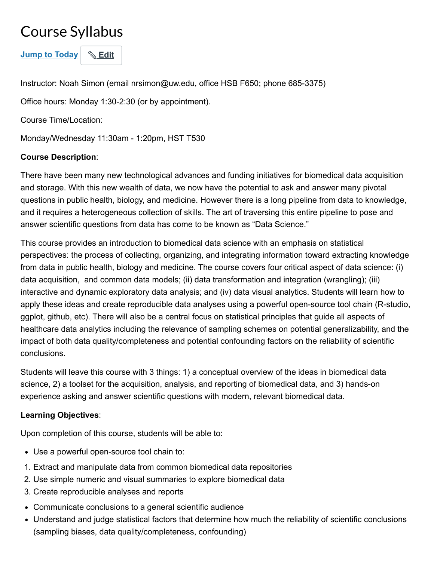# Course Syllabus

**Jump to Today** & Edit

Instructor: Noah Simon (email nrsimon@uw.edu, office HSB F650; phone 685-3375)

Office hours: Monday 1:30-2:30 (or by appointment).

Course Time/Location:

Monday/Wednesday 11:30am - 1:20pm, HST T530

#### **Course Description**:

There have been many new technological advances and funding initiatives for biomedical data acquisition and storage. With this new wealth of data, we now have the potential to ask and answer many pivotal questions in public health, biology, and medicine. However there is a long pipeline from data to knowledge, and it requires a heterogeneous collection of skills. The art of traversing this entire pipeline to pose and answer scientific questions from data has come to be known as "Data Science."

This course provides an introduction to biomedical data science with an emphasis on statistical perspectives: the process of collecting, organizing, and integrating information toward extracting knowledge from data in public health, biology and medicine. The course covers four critical aspect of data science: (i) data acquisition, and common data models; (ii) data transformation and integration (wrangling); (iii) interactive and dynamic exploratory data analysis; and (iv) data visual analytics. Students will learn how to apply these ideas and create reproducible data analyses using a powerful open-source tool chain (R-studio, ggplot, github, etc). There will also be a central focus on statistical principles that guide all aspects of healthcare data analytics including the relevance of sampling schemes on potential generalizability, and the impact of both data quality/completeness and potential confounding factors on the reliability of scientific conclusions.

Students will leave this course with 3 things: 1) a conceptual overview of the ideas in biomedical data science, 2) a toolset for the acquisition, analysis, and reporting of biomedical data, and 3) hands-on experience asking and answer scientific questions with modern, relevant biomedical data.

## **Learning Objectives**:

Upon completion of this course, students will be able to:

- Use a powerful open-source tool chain to:
- 1. Extract and manipulate data from common biomedical data repositories
- 2. Use simple numeric and visual summaries to explore biomedical data
- 3. Create reproducible analyses and reports
- Communicate conclusions to a general scientific audience
- Understand and judge statistical factors that determine how much the reliability of scientific conclusions (sampling biases, data quality/completeness, confounding)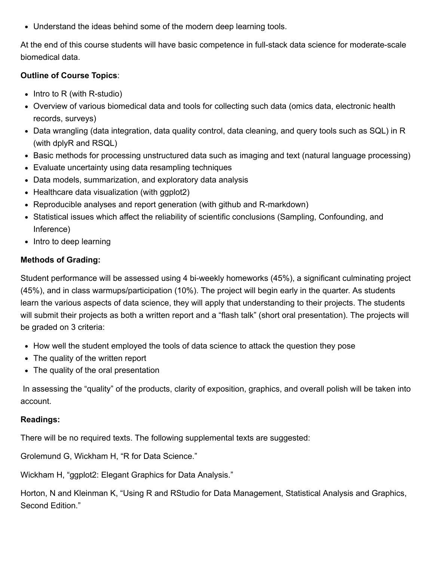Understand the ideas behind some of the modern deep learning tools.

At the end of this course students will have basic competence in full-stack data science for moderate-scale biomedical data.

### **Outline of Course Topics**:

- $\bullet$  Intro to R (with R-studio)
- Overview of various biomedical data and tools for collecting such data (omics data, electronic health records, surveys)
- Data wrangling (data integration, data quality control, data cleaning, and query tools such as SQL) in R (with dplyR and RSQL)
- Basic methods for processing unstructured data such as imaging and text (natural language processing)
- Evaluate uncertainty using data resampling techniques
- Data models, summarization, and exploratory data analysis
- Healthcare data visualization (with ggplot2)
- Reproducible analyses and report generation (with github and R-markdown)
- Statistical issues which affect the reliability of scientific conclusions (Sampling, Confounding, and Inference)
- Intro to deep learning

#### **Methods of Grading:**

Student performance will be assessed using 4 bi-weekly homeworks (45%), a significant culminating project (45%), and in class warmups/participation (10%). The project will begin early in the quarter. As students learn the various aspects of data science, they will apply that understanding to their projects. The students will submit their projects as both a written report and a "flash talk" (short oral presentation). The projects will be graded on 3 criteria:

- How well the student employed the tools of data science to attack the question they pose
- The quality of the written report
- The quality of the oral presentation

 In assessing the "quality" of the products, clarity of exposition, graphics, and overall polish will be taken into account.

#### **Readings:**

There will be no required texts. The following supplemental texts are suggested:

Grolemund G, Wickham H, "R for Data Science."

Wickham H, "ggplot2: Elegant Graphics for Data Analysis."

Horton, N and Kleinman K, "Using R and RStudio for Data Management, Statistical Analysis and Graphics, Second Edition."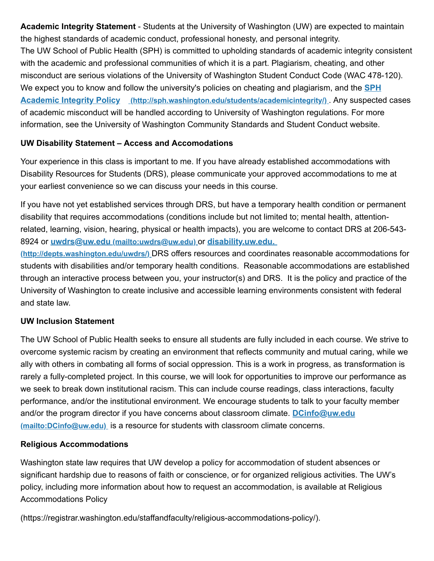**Academic Integrity Statement** - Students at the University of Washington (UW) are expected to maintain the highest standards of academic conduct, professional honesty, and personal integrity. The UW School of Public Health (SPH) is committed to upholding standards of academic integrity consistent with the academic and professional communities of which it is a part. Plagiarism, cheating, and other misconduct are serious violations of the University of Washington Student Conduct Code (WAC 478-120). [We expect you to know and follow the university's policies on cheating and plagiarism, and the](http://sph.washington.edu/students/academicintegrity/) **SPH Academic Integrity Policy (http://sph.washington.edu/students/academicintegrity/)** . Any suspected cases of academic misconduct will be handled according to University of Washington regulations. For more information, see the University of Washington Community Standards and Student Conduct website.

## **UW Disability Statement – Access and Accomodations**

Your experience in this class is important to me. If you have already established accommodations with Disability Resources for Students (DRS), please communicate your approved accommodations to me at your earliest convenience so we can discuss your needs in this course.

If you have not yet established services through DRS, but have a temporary health condition or permanent disability that requires accommodations (conditions include but not limited to; mental health, attentionrelated, learning, vision, hearing, physical or health impacts), you are welcome to contact DRS at 206-543- 8924 or **uwdrs@uw.edu [\(mailto:uwdrs@uw.edu\)](mailto:uwdrs@uw.edu)** or **disability.uw.edu.** 

**(http://depts.washington.edu/uwdrs/)** [DRS offers resources and coordinate](http://depts.washington.edu/uwdrs/)s reasonable accommodations for students with disabilities and/or temporary health conditions. Reasonable accommodations are established through an interactive process between you, your instructor(s) and DRS. It is the policy and practice of the University of Washington to create inclusive and accessible learning environments consistent with federal and state law.

## **UW Inclusion Statement**

The UW School of Public Health seeks to ensure all students are fully included in each course. We strive to overcome systemic racism by creating an environment that reflects community and mutual caring, while we ally with others in combating all forms of social oppression. This is a work in progress, as transformation is rarely a fully-completed project. In this course, we will look for opportunities to improve our performance as we seek to break down institutional racism. This can include course readings, class interactions, faculty performance, and/or the institutional environment. We encourage students to talk to your faculty member [and/or the program director if you have concerns about classroom climate.](mailto:DCinfo@uw.edu) **DCinfo@uw.edu (mailto:DCinfo@uw.edu)** is a resource for students with classroom climate concerns.

#### **Religious Accommodations**

Washington state law requires that UW develop a policy for accommodation of student absences or significant hardship due to reasons of faith or conscience, or for organized religious activities. The UW's policy, including more information about how to request an accommodation, is available at Religious Accommodations Policy

(https://registrar.washington.edu/staffandfaculty/religious-accommodations-policy/).